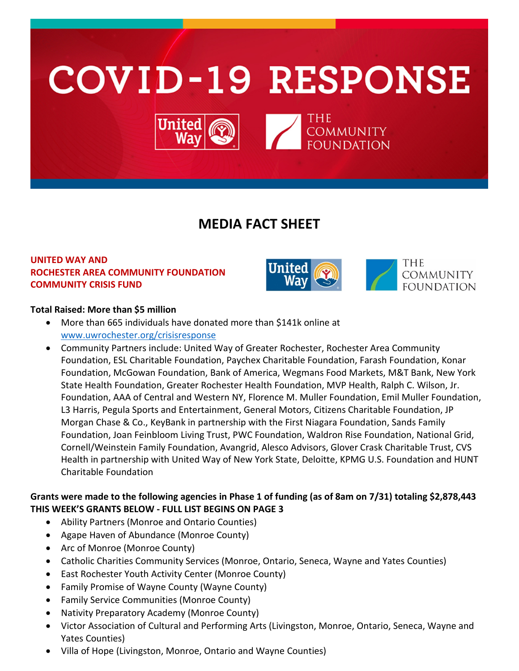

# **MEDIA FACT SHEET**

## **UNITED WAY AND ROCHESTER AREA COMMUNITY FOUNDATION COMMUNITY CRISIS FUND**



## **Total Raised: More than \$5 million**

- More than 665 individuals have donated more than \$141k online at [www.uwrochester.org/crisisresponse](http://www.uwrochester.org/crisisresponse)
- Community Partners include: United Way of Greater Rochester, Rochester Area Community Foundation, ESL Charitable Foundation, Paychex Charitable Foundation, Farash Foundation, Konar Foundation, McGowan Foundation, Bank of America, Wegmans Food Markets, M&T Bank, New York State Health Foundation, Greater Rochester Health Foundation, MVP Health, Ralph C. Wilson, Jr. Foundation, AAA of Central and Western NY, Florence M. Muller Foundation, Emil Muller Foundation, L3 Harris, Pegula Sports and Entertainment, General Motors, Citizens Charitable Foundation, JP Morgan Chase & Co., KeyBank in partnership with the First Niagara Foundation, Sands Family Foundation, Joan Feinbloom Living Trust, PWC Foundation, Waldron Rise Foundation, National Grid, Cornell/Weinstein Family Foundation, Avangrid, Alesco Advisors, Glover Crask Charitable Trust, CVS Health in partnership with United Way of New York State, Deloitte, KPMG U.S. Foundation and HUNT Charitable Foundation

## **Grants were made to the following agencies in Phase 1 of funding (as of 8am on 7/31) totaling \$2,878,443 THIS WEEK'S GRANTS BELOW - FULL LIST BEGINS ON PAGE 3**

- Ability Partners (Monroe and Ontario Counties)
- Agape Haven of Abundance (Monroe County)
- Arc of Monroe (Monroe County)
- Catholic Charities Community Services (Monroe, Ontario, Seneca, Wayne and Yates Counties)
- East Rochester Youth Activity Center (Monroe County)
- Family Promise of Wayne County (Wayne County)
- Family Service Communities (Monroe County)
- Nativity Preparatory Academy (Monroe County)
- Victor Association of Cultural and Performing Arts (Livingston, Monroe, Ontario, Seneca, Wayne and Yates Counties)
- Villa of Hope (Livingston, Monroe, Ontario and Wayne Counties)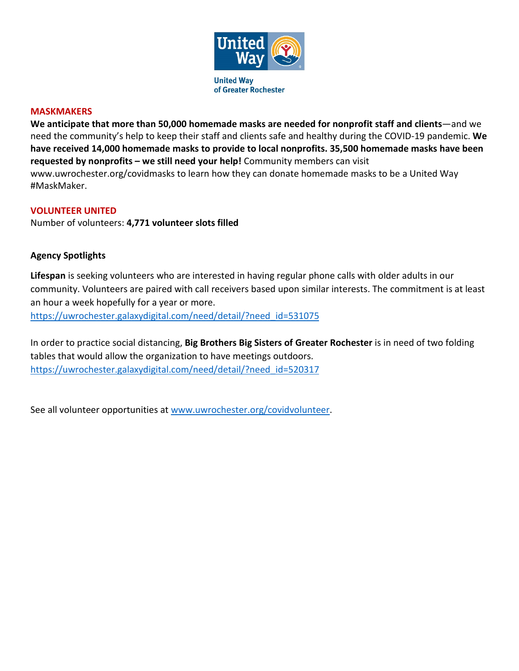

#### **MASKMAKERS**

**We anticipate that more than 50,000 homemade masks are needed for nonprofit staff and clients**—and we need the community's help to keep their staff and clients safe and healthy during the COVID-19 pandemic. **We have received 14,000 homemade masks to provide to local nonprofits. 35,500 homemade masks have been requested by nonprofits – we still need your help!** Community members can visit www.uwrochester.org/covidmasks to learn how they can donate homemade masks to be a United Way #MaskMaker.

#### **VOLUNTEER UNITED**

Number of volunteers: **4,771 volunteer slots filled**

### **Agency Spotlights**

**Lifespan** is seeking volunteers who are interested in having regular phone calls with older adults in our community. Volunteers are paired with call receivers based upon similar interests. The commitment is at least an hour a week hopefully for a year or more.

[https://uwrochester.galaxydigital.com/need/detail/?need\\_id=531075](https://uwrochester.galaxydigital.com/need/detail/?need_id=531075)

In order to practice social distancing, **Big Brothers Big Sisters of Greater Rochester** is in need of two folding tables that would allow the organization to have meetings outdoors. [https://uwrochester.galaxydigital.com/need/detail/?need\\_id=520317](https://uwrochester.galaxydigital.com/need/detail/?need_id=520317)

See all volunteer opportunities at [www.uwrochester.org/covidvolunteer.](http://www.uwrochester.org/covidvolunteer)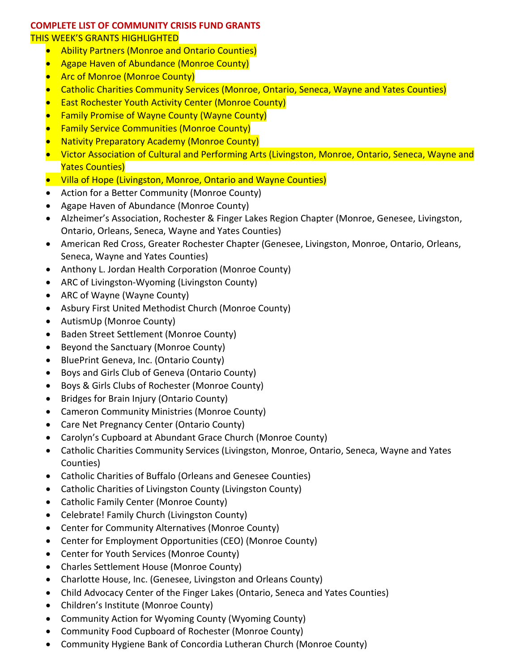#### **COMPLETE LIST OF COMMUNITY CRISIS FUND GRANTS** THIS WEEK'S GRANTS HIGHLIGHTED

- Ability Partners (Monroe and Ontario Counties)
- Agape Haven of Abundance (Monroe County)
- Arc of Monroe (Monroe County)
- Catholic Charities Community Services (Monroe, Ontario, Seneca, Wayne and Yates Counties)
- East Rochester Youth Activity Center (Monroe County)
- Family Promise of Wayne County (Wayne County)
- Family Service Communities (Monroe County)
- Nativity Preparatory Academy (Monroe County)
- Victor Association of Cultural and Performing Arts (Livingston, Monroe, Ontario, Seneca, Wayne and Yates Counties)
- Villa of Hope (Livingston, Monroe, Ontario and Wayne Counties)
- Action for a Better Community (Monroe County)
- Agape Haven of Abundance (Monroe County)
- Alzheimer's Association, Rochester & Finger Lakes Region Chapter (Monroe, Genesee, Livingston, Ontario, Orleans, Seneca, Wayne and Yates Counties)
- American Red Cross, Greater Rochester Chapter (Genesee, Livingston, Monroe, Ontario, Orleans, Seneca, Wayne and Yates Counties)
- Anthony L. Jordan Health Corporation (Monroe County)
- ARC of Livingston-Wyoming (Livingston County)
- ARC of Wayne (Wayne County)
- Asbury First United Methodist Church (Monroe County)
- AutismUp (Monroe County)
- Baden Street Settlement (Monroe County)
- Beyond the Sanctuary (Monroe County)
- BluePrint Geneva, Inc. (Ontario County)
- Boys and Girls Club of Geneva (Ontario County)
- Boys & Girls Clubs of Rochester (Monroe County)
- Bridges for Brain Injury (Ontario County)
- Cameron Community Ministries (Monroe County)
- Care Net Pregnancy Center (Ontario County)
- Carolyn's Cupboard at Abundant Grace Church (Monroe County)
- Catholic Charities Community Services (Livingston, Monroe, Ontario, Seneca, Wayne and Yates Counties)
- Catholic Charities of Buffalo (Orleans and Genesee Counties)
- Catholic Charities of Livingston County (Livingston County)
- Catholic Family Center (Monroe County)
- Celebrate! Family Church (Livingston County)
- Center for Community Alternatives (Monroe County)
- Center for Employment Opportunities (CEO) (Monroe County)
- Center for Youth Services (Monroe County)
- Charles Settlement House (Monroe County)
- Charlotte House, Inc. (Genesee, Livingston and Orleans County)
- Child Advocacy Center of the Finger Lakes (Ontario, Seneca and Yates Counties)
- Children's Institute (Monroe County)
- Community Action for Wyoming County (Wyoming County)
- Community Food Cupboard of Rochester (Monroe County)
- Community Hygiene Bank of Concordia Lutheran Church (Monroe County)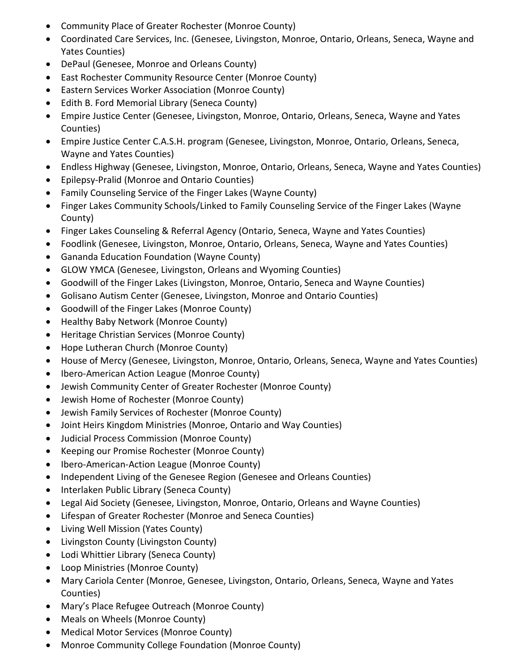- Community Place of Greater Rochester (Monroe County)
- Coordinated Care Services, Inc. (Genesee, Livingston, Monroe, Ontario, Orleans, Seneca, Wayne and Yates Counties)
- DePaul (Genesee, Monroe and Orleans County)
- East Rochester Community Resource Center (Monroe County)
- Eastern Services Worker Association (Monroe County)
- Edith B. Ford Memorial Library (Seneca County)
- Empire Justice Center (Genesee, Livingston, Monroe, Ontario, Orleans, Seneca, Wayne and Yates Counties)
- Empire Justice Center C.A.S.H. program (Genesee, Livingston, Monroe, Ontario, Orleans, Seneca, Wayne and Yates Counties)
- Endless Highway (Genesee, Livingston, Monroe, Ontario, Orleans, Seneca, Wayne and Yates Counties)
- Epilepsy-Pralid (Monroe and Ontario Counties)
- Family Counseling Service of the Finger Lakes (Wayne County)
- Finger Lakes Community Schools/Linked to Family Counseling Service of the Finger Lakes (Wayne County)
- Finger Lakes Counseling & Referral Agency (Ontario, Seneca, Wayne and Yates Counties)
- Foodlink (Genesee, Livingston, Monroe, Ontario, Orleans, Seneca, Wayne and Yates Counties)
- Gananda Education Foundation (Wayne County)
- GLOW YMCA (Genesee, Livingston, Orleans and Wyoming Counties)
- Goodwill of the Finger Lakes (Livingston, Monroe, Ontario, Seneca and Wayne Counties)
- Golisano Autism Center (Genesee, Livingston, Monroe and Ontario Counties)
- Goodwill of the Finger Lakes (Monroe County)
- Healthy Baby Network (Monroe County)
- Heritage Christian Services (Monroe County)
- Hope Lutheran Church (Monroe County)
- House of Mercy (Genesee, Livingston, Monroe, Ontario, Orleans, Seneca, Wayne and Yates Counties)
- Ibero-American Action League (Monroe County)
- Jewish Community Center of Greater Rochester (Monroe County)
- Jewish Home of Rochester (Monroe County)
- Jewish Family Services of Rochester (Monroe County)
- Joint Heirs Kingdom Ministries (Monroe, Ontario and Way Counties)
- Judicial Process Commission (Monroe County)
- Keeping our Promise Rochester (Monroe County)
- Ibero-American-Action League (Monroe County)
- Independent Living of the Genesee Region (Genesee and Orleans Counties)
- Interlaken Public Library (Seneca County)
- Legal Aid Society (Genesee, Livingston, Monroe, Ontario, Orleans and Wayne Counties)
- Lifespan of Greater Rochester (Monroe and Seneca Counties)
- Living Well Mission (Yates County)
- Livingston County (Livingston County)
- Lodi Whittier Library (Seneca County)
- Loop Ministries (Monroe County)
- Mary Cariola Center (Monroe, Genesee, Livingston, Ontario, Orleans, Seneca, Wayne and Yates Counties)
- Mary's Place Refugee Outreach (Monroe County)
- Meals on Wheels (Monroe County)
- Medical Motor Services (Monroe County)
- Monroe Community College Foundation (Monroe County)